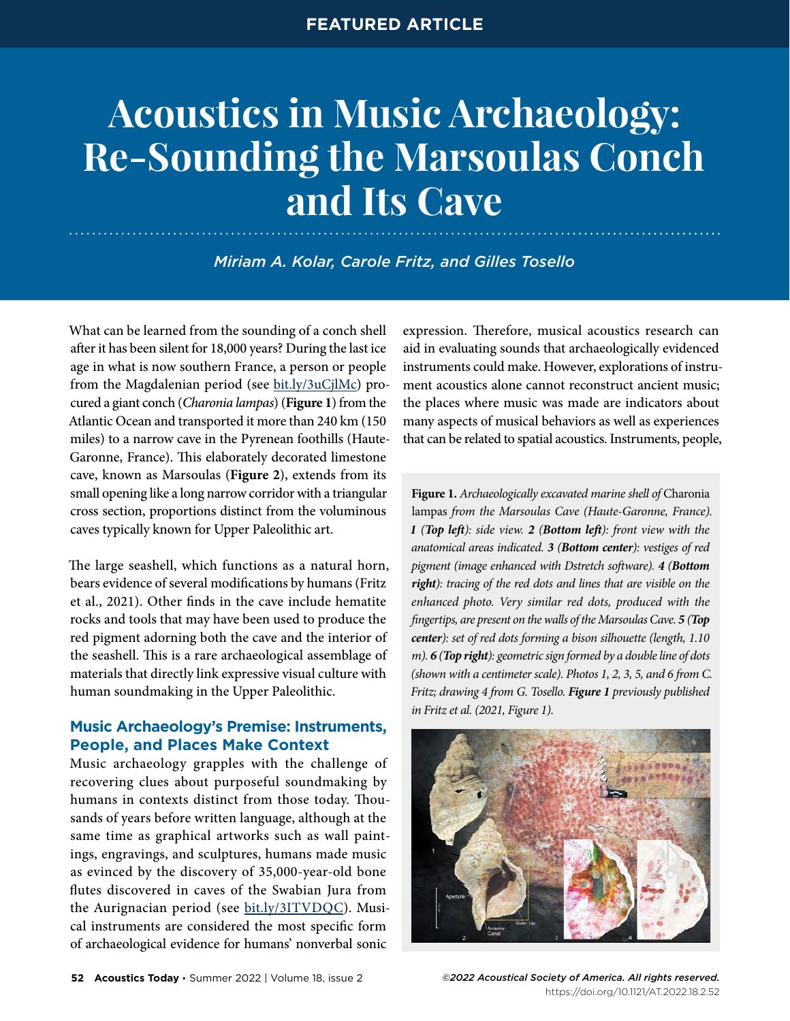# **Acoustics in Music Archaeology: Re-Sounding the Marsoulas Conch and Its Cave**

*Miriam A. Kolar, Carole Fritz, and Gilles Tosello*

What can be learned from the sounding of a conch shell after it has been silent for 18,000 years? During the last ice age in what is now southern France, a person or people from the Magdalenian period (see [bit.ly/3uCjlMc\)](https://bit.ly/3uCjlMc) procured a giant conch (*Charonia lampas*) (**Figure 1**) from the Atlantic Ocean and transported it more than 240 km (150 miles) to a narrow cave in the Pyrenean foothills (Haute-Garonne, France). This elaborately decorated limestone cave, known as Marsoulas (**Figure 2**), extends from its small opening like a long narrow corridor with a triangular cross section, proportions distinct from the voluminous caves typically known for Upper Paleolithic art.

The large seashell, which functions as a natural horn, bears evidence of several modifications by humans (Fritz et al., 2021). Other finds in the cave include hematite rocks and tools that may have been used to produce the red pigment adorning both the cave and the interior of the seashell. This is a rare archaeological assemblage of materials that directly link expressive visual culture with human soundmaking in the Upper Paleolithic.

# **Music Archaeology's Premise: Instruments, People, and Places Make Context**

Music archaeology grapples with the challenge of recovering clues about purposeful soundmaking by humans in contexts distinct from those today. Thousands of years before written language, although at the same time as graphical artworks such as wall paintings, engravings, and sculptures, humans made music as evinced by the discovery of 35,000-year-old bone flutes discovered in caves of the Swabian Jura from the Aurignacian period (see [bit.ly/3ITVDQC](https://bit.ly/3ITVDQC)). Musical instruments are considered the most specific form of archaeological evidence for humans' nonverbal sonic

expression. Therefore, musical acoustics research can aid in evaluating sounds that archaeologically evidenced instruments could make. However, explorations of instrument acoustics alone cannot reconstruct ancient music; the places where music was made are indicators about many aspects of musical behaviors as well as experiences that can be related to spatial acoustics. Instruments, people,

**Figure 1.** *Archaeologically excavated marine shell of* Charonia lampas *from the Marsoulas Cave (Haute-Garonne, France). 1 (Top left): side view. 2 (Bottom left): front view with the anatomical areas indicated. 3 (Bottom center): vestiges of red pigment (image enhanced with Dstretch software). 4 (Bottom right): tracing of the red dots and lines that are visible on the enhanced photo. Very similar red dots, produced with the fingertips, are present on the walls of the Marsoulas Cave. 5 (Top center): set of red dots forming a bison silhouette (length, 1.10 m). 6 (Top right): geometric sign formed by a double line of dots (shown with a centimeter scale). Photos 1, 2, 3, 5, and 6 from C. Fritz; drawing 4 from G. Tosello. Figure 1 previously published in Fritz et al. (2021, Figure 1).*



https://doi.org/10.1121/AT.2022.18.2[.52](https://doi.org/10.1121/AT.2019.15.4.12)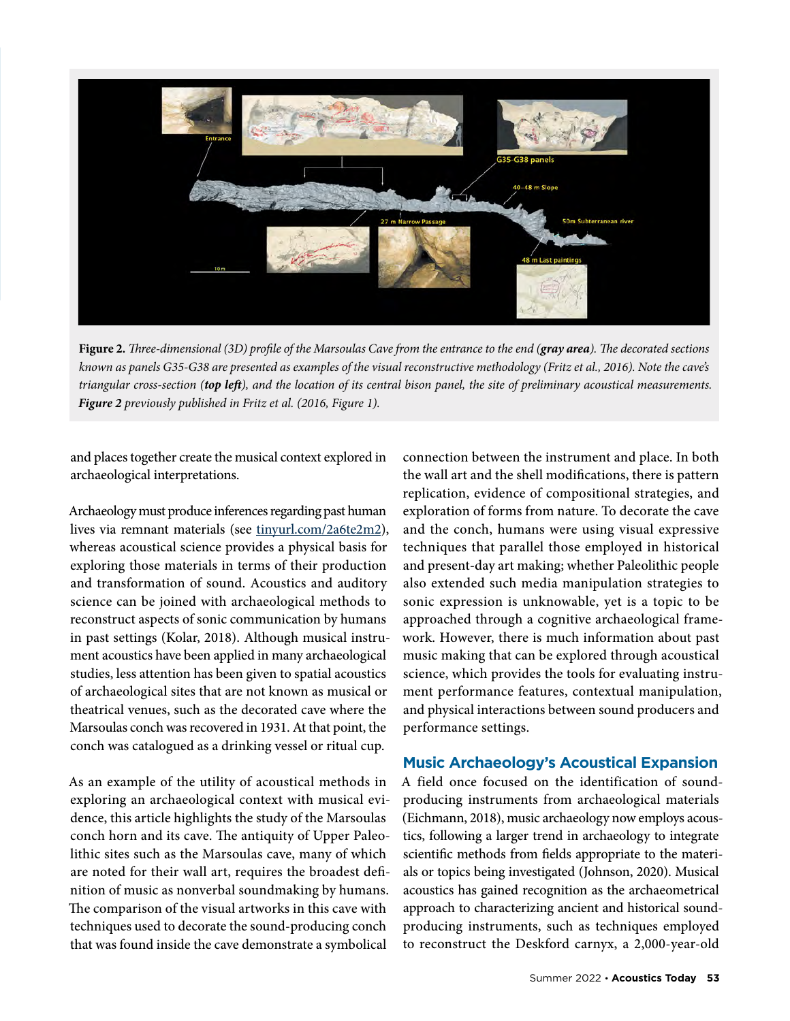

**Figure 2.** *Three-dimensional (3D) profile of the Marsoulas Cave from the entrance to the end (gray area). The decorated sections known as panels G35-G38 are presented as examples of the visual reconstructive methodology (Fritz et al., 2016). Note the cave's triangular cross-section (top left), and the location of its central bison panel, the site of preliminary acoustical measurements. Figure 2 previously published in Fritz et al. (2016, Figure 1).*

and places together create the musical context explored in archaeological interpretations.

Archaeology must produce inferences regarding past human lives via remnant materials (see [tinyurl.com/2a6te2m2](https://tinyurl.com/2a6te2m2)), whereas acoustical science provides a physical basis for exploring those materials in terms of their production and transformation of sound. Acoustics and auditory science can be joined with archaeological methods to reconstruct aspects of sonic communication by humans in past settings (Kolar, 2018). Although musical instrument acoustics have been applied in many archaeological studies, less attention has been given to spatial acoustics of archaeological sites that are not known as musical or theatrical venues, such as the decorated cave where the Marsoulas conch was recovered in 1931. At that point, the conch was catalogued as a drinking vessel or ritual cup.

As an example of the utility of acoustical methods in exploring an archaeological context with musical evidence, this article highlights the study of the Marsoulas conch horn and its cave. The antiquity of Upper Paleolithic sites such as the Marsoulas cave, many of which are noted for their wall art, requires the broadest definition of music as nonverbal soundmaking by humans. The comparison of the visual artworks in this cave with techniques used to decorate the sound-producing conch that was found inside the cave demonstrate a symbolical

connection between the instrument and place. In both the wall art and the shell modifications, there is pattern replication, evidence of compositional strategies, and exploration of forms from nature. To decorate the cave and the conch, humans were using visual expressive techniques that parallel those employed in historical and present-day art making; whether Paleolithic people also extended such media manipulation strategies to sonic expression is unknowable, yet is a topic to be approached through a cognitive archaeological framework. However, there is much information about past music making that can be explored through acoustical science, which provides the tools for evaluating instrument performance features, contextual manipulation, and physical interactions between sound producers and performance settings.

## **Music Archaeology's Acoustical Expansion**

A field once focused on the identification of soundproducing instruments from archaeological materials (Eichmann, 2018), music archaeology now employs acoustics, following a larger trend in archaeology to integrate scientific methods from fields appropriate to the materials or topics being investigated (Johnson, 2020). Musical acoustics has gained recognition as the archaeometrical approach to characterizing ancient and historical soundproducing instruments, such as techniques employed to reconstruct the Deskford carnyx, a 2,000-year-old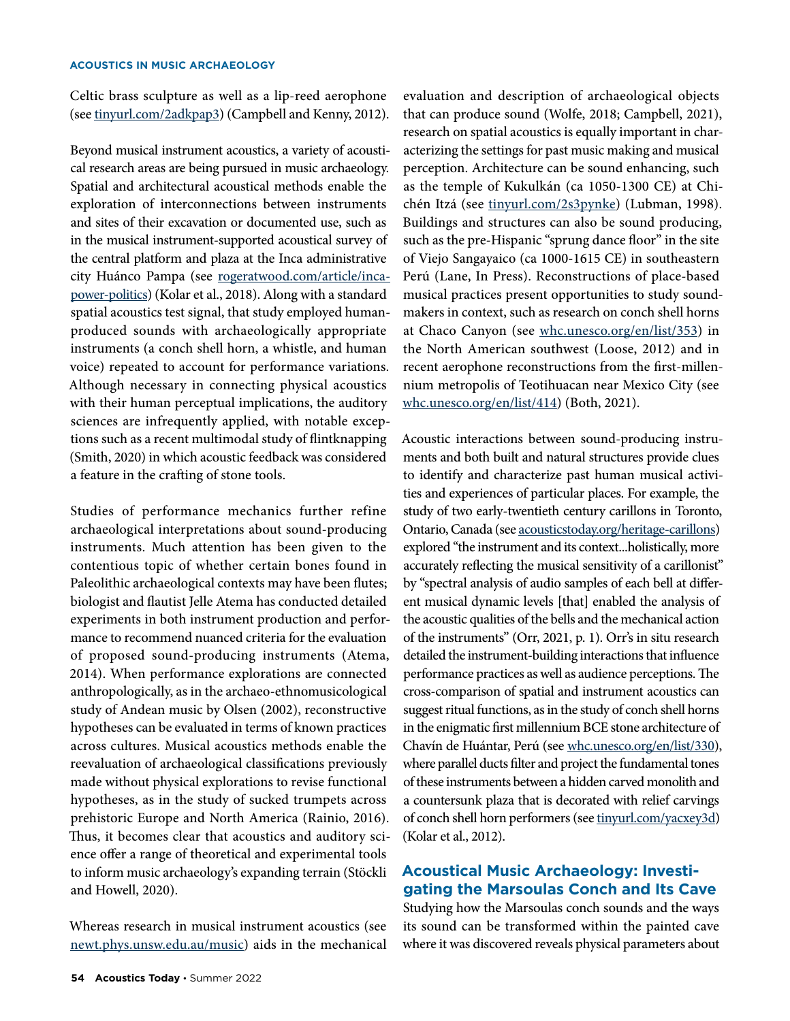Celtic brass sculpture as well as a lip-reed aerophone (see [tinyurl.com/2adkpap3](https://tinyurl.com/2adkpap3)) (Campbell and Kenny, 2012).

Beyond musical instrument acoustics, a variety of acoustical research areas are being pursued in music archaeology. Spatial and architectural acoustical methods enable the exploration of interconnections between instruments and sites of their excavation or documented use, such as in the musical instrument-supported acoustical survey of the central platform and plaza at the Inca administrative city Huánco Pampa (see [rogeratwood.com/article/inca](https://rogeratwood.com/article/inca-power-politics/)[power-politics](https://rogeratwood.com/article/inca-power-politics/)) (Kolar et al., 2018). Along with a standard spatial acoustics test signal, that study employed humanproduced sounds with archaeologically appropriate instruments (a conch shell horn, a whistle, and human voice) repeated to account for performance variations. Although necessary in connecting physical acoustics with their human perceptual implications, the auditory sciences are infrequently applied, with notable exceptions such as a recent multimodal study of flintknapping (Smith, 2020) in which acoustic feedback was considered a feature in the crafting of stone tools.

Studies of performance mechanics further refine archaeological interpretations about sound-producing instruments. Much attention has been given to the contentious topic of whether certain bones found in Paleolithic archaeological contexts may have been flutes; biologist and flautist Jelle Atema has conducted detailed experiments in both instrument production and performance to recommend nuanced criteria for the evaluation of proposed sound-producing instruments (Atema, 2014). When performance explorations are connected anthropologically, as in the archaeo-ethnomusicological study of Andean music by Olsen (2002), reconstructive hypotheses can be evaluated in terms of known practices across cultures. Musical acoustics methods enable the reevaluation of archaeological classifications previously made without physical explorations to revise functional hypotheses, as in the study of sucked trumpets across prehistoric Europe and North America (Rainio, 2016). Thus, it becomes clear that acoustics and auditory science offer a range of theoretical and experimental tools to inform music archaeology's expanding terrain (Stöckli and Howell, 2020).

Whereas research in musical instrument acoustics (see [newt.phys.unsw.edu.au/music\)](http://newt.phys.unsw.edu.au/music/) aids in the mechanical evaluation and description of archaeological objects that can produce sound (Wolfe, 2018; Campbell, 2021), research on spatial acoustics is equally important in characterizing the settings for past music making and musical perception. Architecture can be sound enhancing, such as the temple of Kukulkán (ca 1050-1300 CE) at Chichén Itzá (see [tinyurl.com/2s3pynke](https://tinyurl.com/2s3pynke)) (Lubman, 1998). Buildings and structures can also be sound producing, such as the pre-Hispanic "sprung dance floor" in the site of Viejo Sangayaico (ca 1000-1615 CE) in southeastern Perú (Lane, In Press). Reconstructions of place-based musical practices present opportunities to study soundmakers in context, such as research on conch shell horns at Chaco Canyon (see [whc.unesco.org/en/list/353\)](https://whc.unesco.org/en/list/353/) in the North American southwest (Loose, 2012) and in recent aerophone reconstructions from the first-millennium metropolis of Teotihuacan near Mexico City (see [whc.unesco.org/en/list/414\)](https://whc.unesco.org/en/list/414/) (Both, 2021).

Acoustic interactions between sound-producing instruments and both built and natural structures provide clues to identify and characterize past human musical activities and experiences of particular places. For example, the study of two early-twentieth century carillons in Toronto, Ontario, Canada (see [acousticstoday.org/heritage-carillons](https://acousticstoday.org/heritage-carillons)) explored "the instrument and its context...holistically, more accurately reflecting the musical sensitivity of a carillonist" by "spectral analysis of audio samples of each bell at different musical dynamic levels [that] enabled the analysis of the acoustic qualities of the bells and the mechanical action of the instruments" (Orr, 2021, p. 1). Orr's in situ research detailed the instrument-building interactions that influence performance practices as well as audience perceptions. The cross-comparison of spatial and instrument acoustics can suggest ritual functions, as in the study of conch shell horns in the enigmatic first millennium BCE stone architecture of Chavín de Huántar, Perú (see [whc.unesco.org/en/list/330\)](https://whc.unesco.org/en/list/330), where parallel ducts filter and project the fundamental tones of these instruments between a hidden carved monolith and a countersunk plaza that is decorated with relief carvings of conch shell horn performers (see [tinyurl.com/yacxey3d](https://tinyurl.com/yacxey3d)) (Kolar et al., 2012).

# **Acoustical Music Archaeology: Investigating the Marsoulas Conch and Its Cave**

Studying how the Marsoulas conch sounds and the ways its sound can be transformed within the painted cave where it was discovered reveals physical parameters about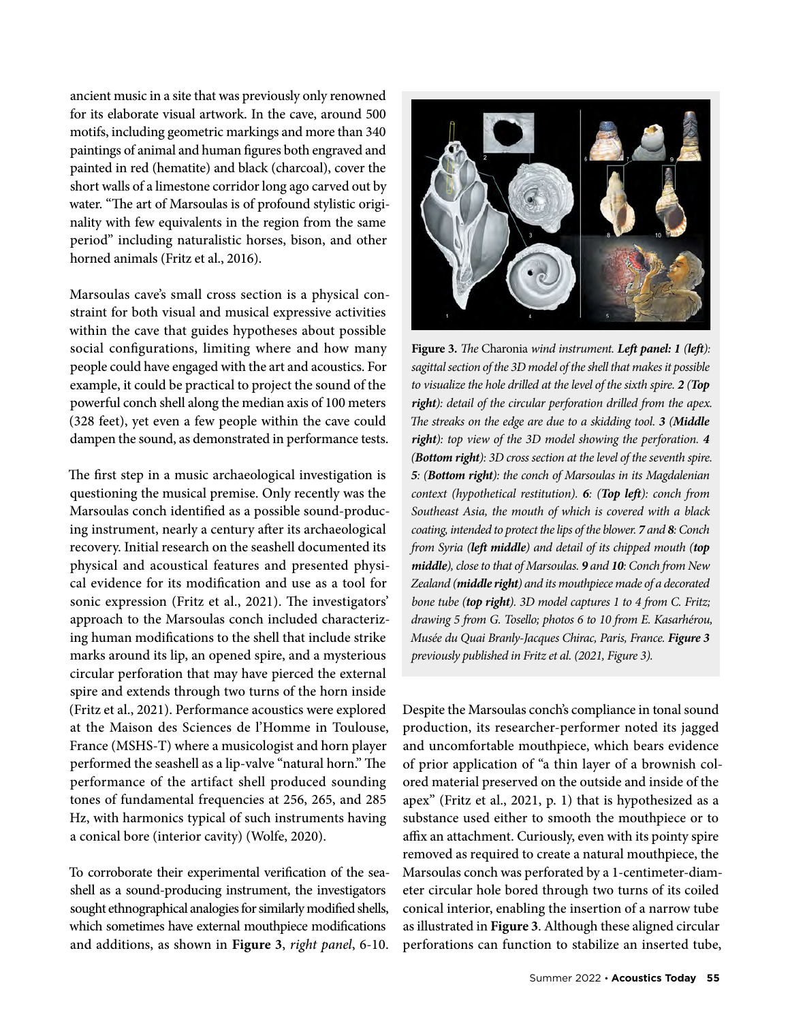ancient music in a site that was previously only renowned for its elaborate visual artwork. In the cave, around 500 motifs, including geometric markings and more than 340 paintings of animal and human figures both engraved and painted in red (hematite) and black (charcoal), cover the short walls of a limestone corridor long ago carved out by water. "The art of Marsoulas is of profound stylistic originality with few equivalents in the region from the same period" including naturalistic horses, bison, and other horned animals (Fritz et al., 2016).

Marsoulas cave's small cross section is a physical constraint for both visual and musical expressive activities within the cave that guides hypotheses about possible social configurations, limiting where and how many people could have engaged with the art and acoustics. For example, it could be practical to project the sound of the powerful conch shell along the median axis of 100 meters (328 feet), yet even a few people within the cave could dampen the sound, as demonstrated in performance tests.

The first step in a music archaeological investigation is questioning the musical premise. Only recently was the Marsoulas conch identified as a possible sound-producing instrument, nearly a century after its archaeological recovery. Initial research on the seashell documented its physical and acoustical features and presented physical evidence for its modification and use as a tool for sonic expression (Fritz et al., 2021). The investigators' approach to the Marsoulas conch included characterizing human modifications to the shell that include strike marks around its lip, an opened spire, and a mysterious circular perforation that may have pierced the external spire and extends through two turns of the horn inside (Fritz et al., 2021). Performance acoustics were explored at the Maison des Sciences de l'Homme in Toulouse, France (MSHS-T) where a musicologist and horn player performed the seashell as a lip-valve "natural horn." The performance of the artifact shell produced sounding tones of fundamental frequencies at 256, 265, and 285 Hz, with harmonics typical of such instruments having a conical bore (interior cavity) (Wolfe, 2020).

To corroborate their experimental verification of the seashell as a sound-producing instrument, the investigators sought ethnographical analogies for similarly modified shells, which sometimes have external mouthpiece modifications and additions, as shown in **Figure 3**, *right panel*, 6-10.



**Figure 3.** *The* Charonia *wind instrument. Left panel: 1 (left): sagittal section of the 3D model of the shell that makes it possible to visualize the hole drilled at the level of the sixth spire. 2 (Top right): detail of the circular perforation drilled from the apex. The streaks on the edge are due to a skidding tool. 3 (Middle right): top view of the 3D model showing the perforation. 4 (Bottom right): 3D cross section at the level of the seventh spire. 5: (Bottom right): the conch of Marsoulas in its Magdalenian context (hypothetical restitution). 6: (Top left): conch from Southeast Asia, the mouth of which is covered with a black coating, intended to protect the lips of the blower. 7 and 8: Conch from Syria (left middle) and detail of its chipped mouth (top middle), close to that of Marsoulas. 9 and 10: Conch from New Zealand (middle right) and its mouthpiece made of a decorated bone tube (top right). 3D model captures 1 to 4 from C. Fritz; drawing 5 from G. Tosello; photos 6 to 10 from E. Kasarhérou, Musée du Quai Branly-Jacques Chirac, Paris, France. Figure 3 previously published in Fritz et al. (2021, Figure 3).*

Despite the Marsoulas conch's compliance in tonal sound production, its researcher-performer noted its jagged and uncomfortable mouthpiece, which bears evidence of prior application of "a thin layer of a brownish colored material preserved on the outside and inside of the apex" (Fritz et al., 2021, p. 1) that is hypothesized as a substance used either to smooth the mouthpiece or to affix an attachment. Curiously, even with its pointy spire removed as required to create a natural mouthpiece, the Marsoulas conch was perforated by a 1-centimeter-diameter circular hole bored through two turns of its coiled conical interior, enabling the insertion of a narrow tube as illustrated in **Figure 3**. Although these aligned circular perforations can function to stabilize an inserted tube,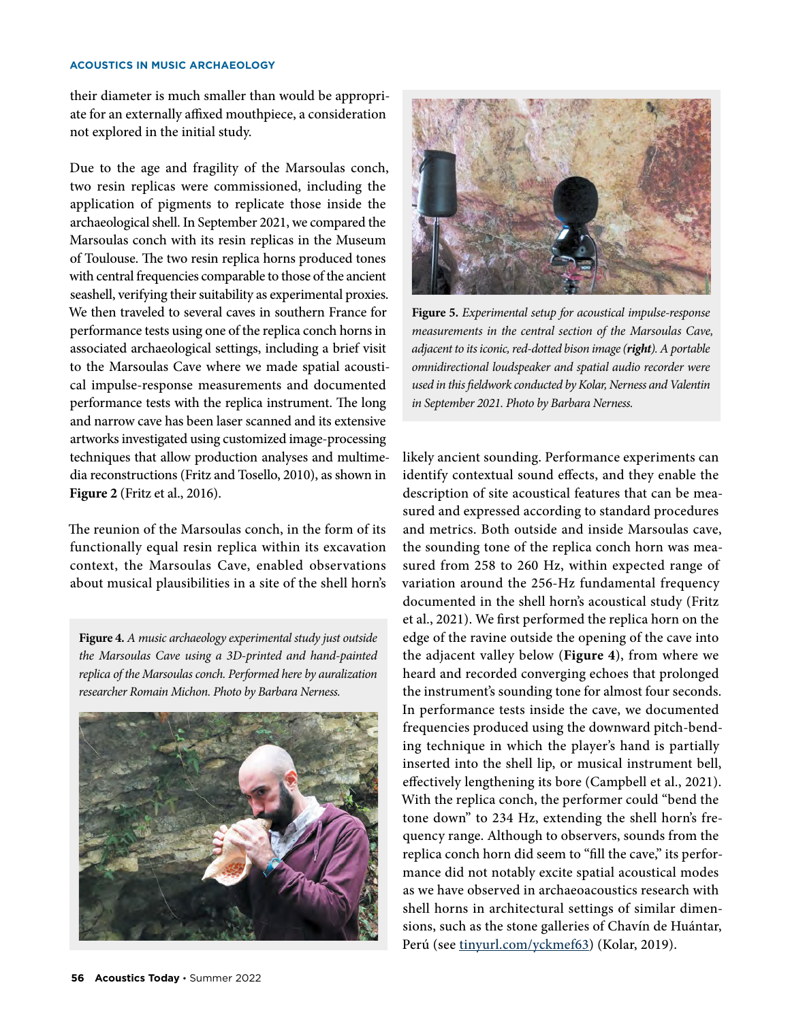#### **ACOUSTICS IN MUSIC ARCHAEOLOGY**

their diameter is much smaller than would be appropriate for an externally affixed mouthpiece, a consideration not explored in the initial study.

Due to the age and fragility of the Marsoulas conch, two resin replicas were commissioned, including the application of pigments to replicate those inside the archaeological shell. In September 2021, we compared the Marsoulas conch with its resin replicas in the Museum of Toulouse. The two resin replica horns produced tones with central frequencies comparable to those of the ancient seashell, verifying their suitability as experimental proxies. We then traveled to several caves in southern France for performance tests using one of the replica conch horns in associated archaeological settings, including a brief visit to the Marsoulas Cave where we made spatial acoustical impulse-response measurements and documented performance tests with the replica instrument. The long and narrow cave has been laser scanned and its extensive artworks investigated using customized image-processing techniques that allow production analyses and multimedia reconstructions (Fritz and Tosello, 2010), as shown in **Figure 2** (Fritz et al., 2016).

The reunion of the Marsoulas conch, in the form of its functionally equal resin replica within its excavation context, the Marsoulas Cave, enabled observations about musical plausibilities in a site of the shell horn's

**Figure 4.** *A music archaeology experimental study just outside the Marsoulas Cave using a 3D-printed and hand-painted replica of the Marsoulas conch. Performed here by auralization researcher Romain Michon. Photo by Barbara Nerness.*





**Figure 5.** *Experimental setup for acoustical impulse-response measurements in the central section of the Marsoulas Cave, adjacent to its iconic, red-dotted bison image (right). A portable omnidirectional loudspeaker and spatial audio recorder were used in this fieldwork conducted by Kolar, Nerness and Valentin in September 2021. Photo by Barbara Nerness.*

likely ancient sounding. Performance experiments can identify contextual sound effects, and they enable the description of site acoustical features that can be measured and expressed according to standard procedures and metrics. Both outside and inside Marsoulas cave, the sounding tone of the replica conch horn was measured from 258 to 260 Hz, within expected range of variation around the 256-Hz fundamental frequency documented in the shell horn's acoustical study (Fritz et al., 2021). We first performed the replica horn on the edge of the ravine outside the opening of the cave into the adjacent valley below (**Figure 4**), from where we heard and recorded converging echoes that prolonged the instrument's sounding tone for almost four seconds. In performance tests inside the cave, we documented frequencies produced using the downward pitch-bending technique in which the player's hand is partially inserted into the shell lip, or musical instrument bell, effectively lengthening its bore (Campbell et al., 2021). With the replica conch, the performer could "bend the tone down" to 234 Hz, extending the shell horn's frequency range. Although to observers, sounds from the replica conch horn did seem to "fill the cave," its performance did not notably excite spatial acoustical modes as we have observed in archaeoacoustics research with shell horns in architectural settings of similar dimensions, such as the stone galleries of Chavín de Huántar, Perú (see [tinyurl.com/yckmef63\)](https://tinyurl.com/yckmef63) (Kolar, 2019).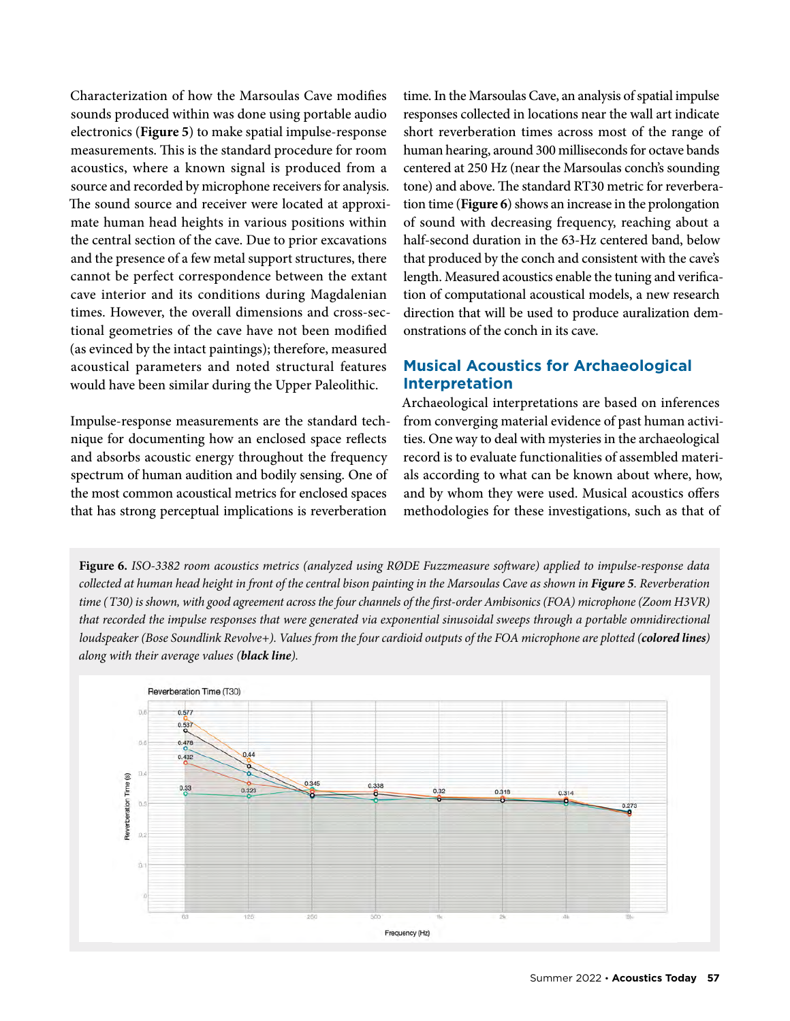Characterization of how the Marsoulas Cave modifies sounds produced within was done using portable audio electronics (**Figure 5**) to make spatial impulse-response measurements. This is the standard procedure for room acoustics, where a known signal is produced from a source and recorded by microphone receivers for analysis. The sound source and receiver were located at approximate human head heights in various positions within the central section of the cave. Due to prior excavations and the presence of a few metal support structures, there cannot be perfect correspondence between the extant cave interior and its conditions during Magdalenian times. However, the overall dimensions and cross-sectional geometries of the cave have not been modified (as evinced by the intact paintings); therefore, measured acoustical parameters and noted structural features would have been similar during the Upper Paleolithic.

Impulse-response measurements are the standard technique for documenting how an enclosed space reflects and absorbs acoustic energy throughout the frequency spectrum of human audition and bodily sensing. One of the most common acoustical metrics for enclosed spaces that has strong perceptual implications is reverberation

time. In the Marsoulas Cave, an analysis of spatial impulse responses collected in locations near the wall art indicate short reverberation times across most of the range of human hearing, around 300 milliseconds for octave bands centered at 250 Hz (near the Marsoulas conch's sounding tone) and above. The standard RT30 metric for reverberation time (**Figure 6**) shows an increase in the prolongation of sound with decreasing frequency, reaching about a half-second duration in the 63-Hz centered band, below that produced by the conch and consistent with the cave's length. Measured acoustics enable the tuning and verification of computational acoustical models, a new research direction that will be used to produce auralization demonstrations of the conch in its cave.

# **Musical Acoustics for Archaeological Interpretation**

Archaeological interpretations are based on inferences from converging material evidence of past human activities. One way to deal with mysteries in the archaeological record is to evaluate functionalities of assembled materials according to what can be known about where, how, and by whom they were used. Musical acoustics offers methodologies for these investigations, such as that of

**Figure 6.** *ISO-3382 room acoustics metrics (analyzed using RØDE Fuzzmeasure software) applied to impulse-response data collected at human head height in front of the central bison painting in the Marsoulas Cave as shown in Figure 5. Reverberation time (T30) is shown, with good agreement across the four channels of the first-order Ambisonics (FOA) microphone (Zoom H3VR) that recorded the impulse responses that were generated via exponential sinusoidal sweeps through a portable omnidirectional loudspeaker (Bose Soundlink Revolve+). Values from the four cardioid outputs of the FOA microphone are plotted (colored lines) along with their average values (black line).*

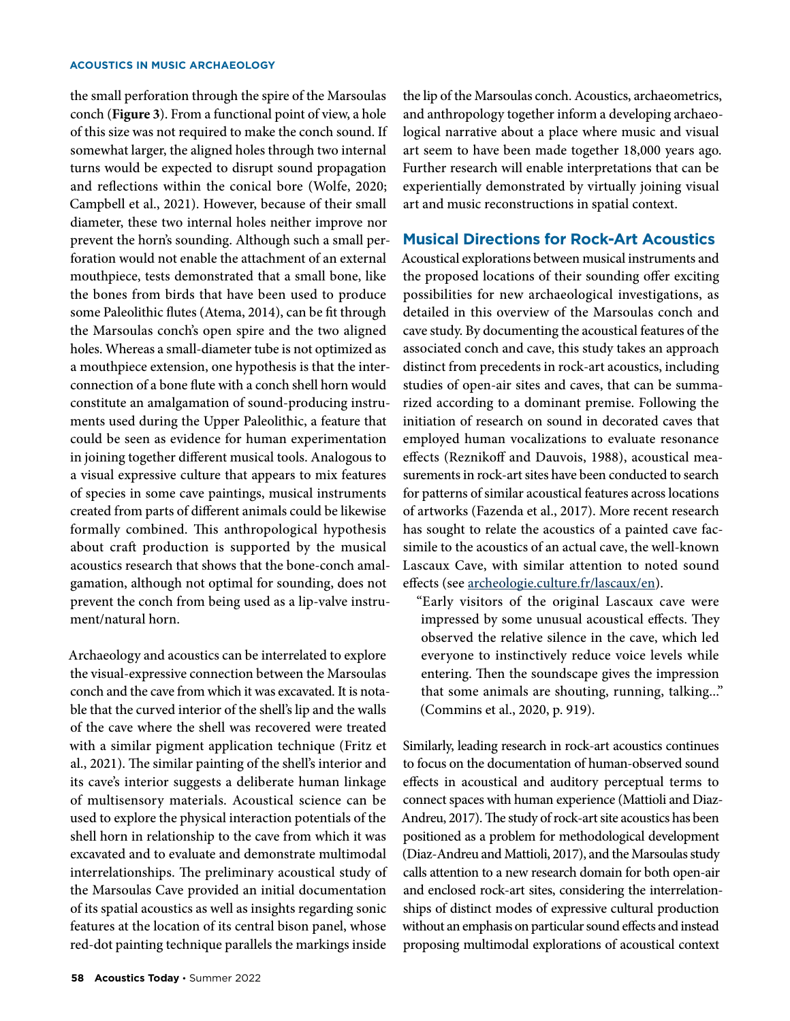#### **ACOUSTICS IN MUSIC ARCHAEOLOGY**

the small perforation through the spire of the Marsoulas conch (**Figure 3**). From a functional point of view, a hole of this size was not required to make the conch sound. If somewhat larger, the aligned holes through two internal turns would be expected to disrupt sound propagation and reflections within the conical bore (Wolfe, 2020; Campbell et al., 2021). However, because of their small diameter, these two internal holes neither improve nor prevent the horn's sounding. Although such a small perforation would not enable the attachment of an external mouthpiece, tests demonstrated that a small bone, like the bones from birds that have been used to produce some Paleolithic flutes (Atema, 2014), can be fit through the Marsoulas conch's open spire and the two aligned holes. Whereas a small-diameter tube is not optimized as a mouthpiece extension, one hypothesis is that the interconnection of a bone flute with a conch shell horn would constitute an amalgamation of sound-producing instruments used during the Upper Paleolithic, a feature that could be seen as evidence for human experimentation in joining together different musical tools. Analogous to a visual expressive culture that appears to mix features of species in some cave paintings, musical instruments created from parts of different animals could be likewise formally combined. This anthropological hypothesis about craft production is supported by the musical acoustics research that shows that the bone-conch amalgamation, although not optimal for sounding, does not prevent the conch from being used as a lip-valve instrument/natural horn.

Archaeology and acoustics can be interrelated to explore the visual-expressive connection between the Marsoulas conch and the cave from which it was excavated. It is notable that the curved interior of the shell's lip and the walls of the cave where the shell was recovered were treated with a similar pigment application technique (Fritz et al., 2021). The similar painting of the shell's interior and its cave's interior suggests a deliberate human linkage of multisensory materials. Acoustical science can be used to explore the physical interaction potentials of the shell horn in relationship to the cave from which it was excavated and to evaluate and demonstrate multimodal interrelationships. The preliminary acoustical study of the Marsoulas Cave provided an initial documentation of its spatial acoustics as well as insights regarding sonic features at the location of its central bison panel, whose red-dot painting technique parallels the markings inside

the lip of the Marsoulas conch. Acoustics, archaeometrics, and anthropology together inform a developing archaeological narrative about a place where music and visual art seem to have been made together 18,000 years ago. Further research will enable interpretations that can be experientially demonstrated by virtually joining visual art and music reconstructions in spatial context.

## **Musical Directions for Rock-Art Acoustics**

Acoustical explorations between musical instruments and the proposed locations of their sounding offer exciting possibilities for new archaeological investigations, as detailed in this overview of the Marsoulas conch and cave study. By documenting the acoustical features of the associated conch and cave, this study takes an approach distinct from precedents in rock-art acoustics, including studies of open-air sites and caves, that can be summarized according to a dominant premise. Following the initiation of research on sound in decorated caves that employed human vocalizations to evaluate resonance effects (Reznikoff and Dauvois, 1988), acoustical measurements in rock-art sites have been conducted to search for patterns of similar acoustical features across locations of artworks (Fazenda et al., 2017). More recent research has sought to relate the acoustics of a painted cave facsimile to the acoustics of an actual cave, the well-known Lascaux Cave, with similar attention to noted sound effects (see [archeologie.culture.fr/lascaux/en\)](https://archeologie.culture.fr/lascaux/en).

"Early visitors of the original Lascaux cave were impressed by some unusual acoustical effects. They observed the relative silence in the cave, which led everyone to instinctively reduce voice levels while entering. Then the soundscape gives the impression that some animals are shouting, running, talking..." (Commins et al., 2020, p. 919).

Similarly, leading research in rock-art acoustics continues to focus on the documentation of human-observed sound effects in acoustical and auditory perceptual terms to connect spaces with human experience (Mattioli and Diaz-Andreu, 2017). The study of rock-art site acoustics has been positioned as a problem for methodological development (Diaz-Andreu and Mattioli, 2017), and the Marsoulas study calls attention to a new research domain for both open-air and enclosed rock-art sites, considering the interrelationships of distinct modes of expressive cultural production without an emphasis on particular sound effects and instead proposing multimodal explorations of acoustical context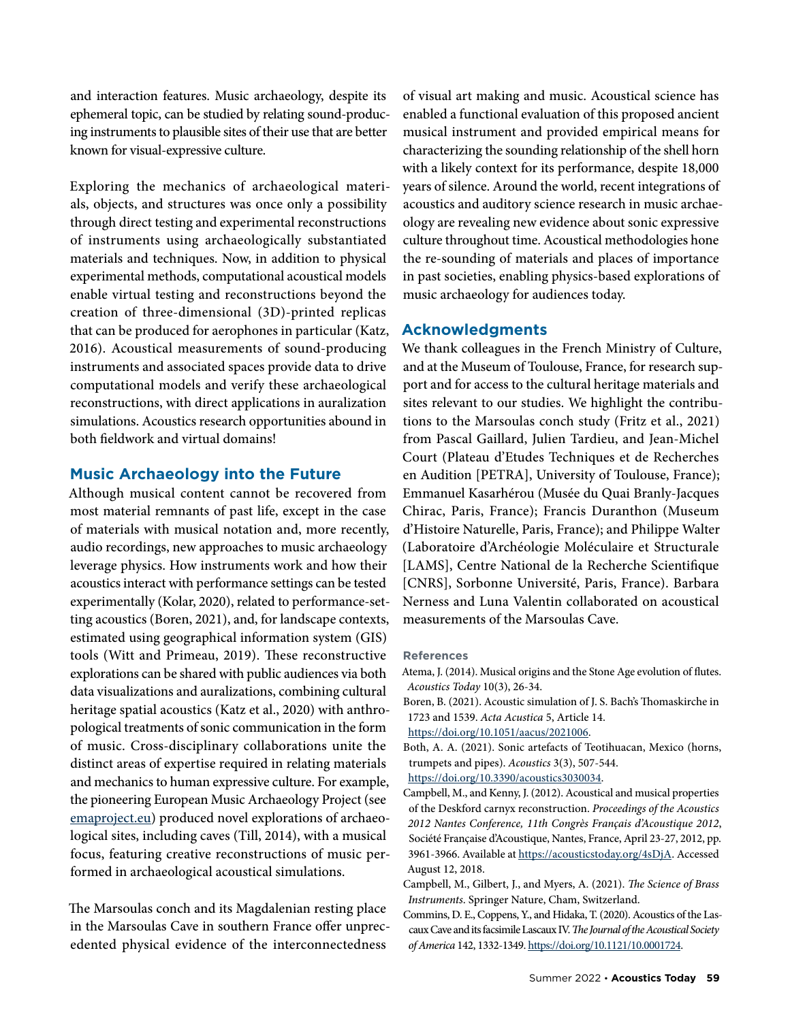and interaction features. Music archaeology, despite its ephemeral topic, can be studied by relating sound-producing instruments to plausible sites of their use that are better known for visual-expressive culture.

Exploring the mechanics of archaeological materials, objects, and structures was once only a possibility through direct testing and experimental reconstructions of instruments using archaeologically substantiated materials and techniques. Now, in addition to physical experimental methods, computational acoustical models enable virtual testing and reconstructions beyond the creation of three-dimensional (3D)-printed replicas that can be produced for aerophones in particular (Katz, 2016). Acoustical measurements of sound-producing instruments and associated spaces provide data to drive computational models and verify these archaeological reconstructions, with direct applications in auralization simulations. Acoustics research opportunities abound in both fieldwork and virtual domains!

# **Music Archaeology into the Future**

Although musical content cannot be recovered from most material remnants of past life, except in the case of materials with musical notation and, more recently, audio recordings, new approaches to music archaeology leverage physics. How instruments work and how their acoustics interact with performance settings can be tested experimentally (Kolar, 2020), related to performance-setting acoustics (Boren, 2021), and, for landscape contexts, estimated using geographical information system (GIS) tools (Witt and Primeau, 2019). These reconstructive explorations can be shared with public audiences via both data visualizations and auralizations, combining cultural heritage spatial acoustics (Katz et al., 2020) with anthropological treatments of sonic communication in the form of music. Cross-disciplinary collaborations unite the distinct areas of expertise required in relating materials and mechanics to human expressive culture. For example, the pioneering European Music Archaeology Project (see [emaproject.eu](http://www.emaproject.eu/)) produced novel explorations of archaeological sites, including caves (Till, 2014), with a musical focus, featuring creative reconstructions of music performed in archaeological acoustical simulations.

The Marsoulas conch and its Magdalenian resting place in the Marsoulas Cave in southern France offer unprecedented physical evidence of the interconnectedness

of visual art making and music. Acoustical science has enabled a functional evaluation of this proposed ancient musical instrument and provided empirical means for characterizing the sounding relationship of the shell horn with a likely context for its performance, despite 18,000 years of silence. Around the world, recent integrations of acoustics and auditory science research in music archaeology are revealing new evidence about sonic expressive culture throughout time. Acoustical methodologies hone the re-sounding of materials and places of importance in past societies, enabling physics-based explorations of music archaeology for audiences today.

# **Acknowledgments**

We thank colleagues in the French Ministry of Culture, and at the Museum of Toulouse, France, for research support and for access to the cultural heritage materials and sites relevant to our studies. We highlight the contributions to the Marsoulas conch study (Fritz et al., 2021) from Pascal Gaillard, Julien Tardieu, and Jean-Michel Court (Plateau d'Etudes Techniques et de Recherches en Audition [PETRA], University of Toulouse, France); Emmanuel Kasarhérou (Musée du Quai Branly-Jacques Chirac, Paris, France); Francis Duranthon (Museum d'Histoire Naturelle, Paris, France); and Philippe Walter (Laboratoire d'Archéologie Moléculaire et Structurale [LAMS], Centre National de la Recherche Scientifique [CNRS], Sorbonne Université, Paris, France). Barbara Nerness and Luna Valentin collaborated on acoustical measurements of the Marsoulas Cave.

#### **References**

Atema, J. (2014). Musical origins and the Stone Age evolution of flutes. *Acoustics Today* 10(3), 26-34.

Boren, B. (2021). Acoustic simulation of J. S. Bach's Thomaskirche in 1723 and 1539. *Acta Acustica* 5, Article 14.

```
https://doi.org/10.1051/aacus/2021006.
```
Both, A. A. (2021). Sonic artefacts of Teotihuacan, Mexico (horns, trumpets and pipes). *Acoustics* 3(3), 507-544.

[https://doi.org/10.3390/acoustics3030034.](https://doi.org/10.3390/acoustics3030034)

Campbell, M., and Kenny, J. (2012). Acoustical and musical properties of the Deskford carnyx reconstruction. *Proceedings of the Acoustics 2012 Nantes Conference, 11th Congrès Français d'Acoustique 2012*, Société Française d'Acoustique, Nantes, France, April 23-27, 2012, pp. 3961-3966. Available at [https://acousticstoday.org/4sDjA.](https://acousticstoday.org/4sDjA) Accessed August 12, 2018.

Campbell, M., Gilbert, J., and Myers, A. (2021). *The Science of Brass Instruments*. Springer Nature, Cham, Switzerland.

Commins, D. E., Coppens, Y., and Hidaka, T. (2020). Acoustics of the Lascaux Cave and its facsimile Lascaux IV. *The Journal of the Acoustical Society of America* 142, 1332-1349. [https://doi.org/10.1121/10.0001724.](https://doi.org/10.1121/10.0001724)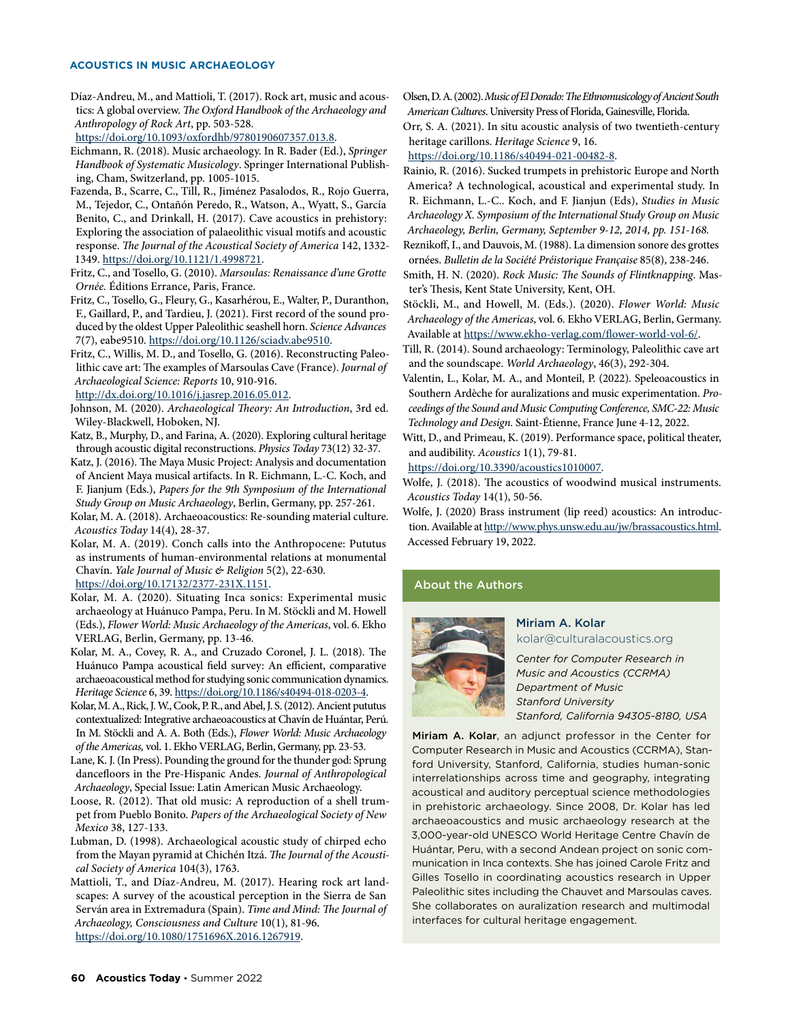#### **ACOUSTICS IN MUSIC ARCHAEOLOGY**

Díaz-Andreu, M., and Mattioli, T. (2017). Rock art, music and acoustics: A global overview. *The Oxford Handbook of the Archaeology and Anthropology of Rock Art*, pp. 503-528.

<https://doi.org/10.1093/oxfordhb/9780190607357.013.8>.

- Eichmann, R. (2018). Music archaeology. In R. Bader (Ed.), *Springer Handbook of Systematic Musicology*. Springer International Publishing, Cham, Switzerland, pp. 1005-1015.
- Fazenda, B., Scarre, C., Till, R., Jiménez Pasalodos, R., Rojo Guerra, M., Tejedor, C., Ontañón Peredo, R., Watson, A., Wyatt, S., García Benito, C., and Drinkall, H. (2017). Cave acoustics in prehistory: Exploring the association of palaeolithic visual motifs and acoustic response. *The Journal of the Acoustical Society of America* 142, 1332- 1349. [https://doi.org/10.1121/1.4998721.](https://doi.org/10.1121/1.4998721)
- Fritz, C., and Tosello, G. (2010). *Marsoulas: Renaissance d'une Grotte Ornée.* Éditions Errance, Paris, France.
- Fritz, C., Tosello, G., Fleury, G., Kasarhérou, E., Walter, P., Duranthon, F., Gaillard, P., and Tardieu, J. (2021). First record of the sound produced by the oldest Upper Paleolithic seashell horn. *Science Advances* 7(7), eabe9510. [https://doi.org/10.1126/sciadv.abe9510.](https://doi.org/10.1126/sciadv.abe9510)
- Fritz, C., Willis, M. D., and Tosello, G. (2016). Reconstructing Paleolithic cave art: The examples of Marsoulas Cave (France). *Journal of Archaeological Science: Reports* 10, 910-916.

[http://dx.doi.org/10.1016/j.jasrep.2016.05.012.](http://dx.doi.org/10.1016/j.jasrep.2016.05.012)

- Johnson, M. (2020). *Archaeological Theory: An Introduction*, 3rd ed. Wiley-Blackwell, Hoboken, NJ.
- Katz, B., Murphy, D., and Farina, A. (2020). Exploring cultural heritage through acoustic digital reconstructions. *Physics Today* 73(12) 32-37.
- Katz, J. (2016). The Maya Music Project: Analysis and documentation of Ancient Maya musical artifacts. In R. Eichmann, L.-C. Koch, and F. Jianjum (Eds.), *Papers for the 9th Symposium of the International Study Group on Music Archaeology*, Berlin, Germany, pp. 257-261.
- Kolar, M. A. (2018). Archaeoacoustics: Re-sounding material culture. *Acoustics Today* 14(4), 28-37.

Kolar, M. A. (2019). Conch calls into the Anthropocene: Pututus as instruments of human-environmental relations at monumental Chavín. *Yale Journal of Music & Religion* 5(2), 22-630. [https://doi.org/10.17132/2377-231X.1151.](https://doi.org/10.17132/2377-231X.1151)

- Kolar, M. A. (2020). Situating Inca sonics: Experimental music archaeology at Huánuco Pampa, Peru. In M. Stöckli and M. Howell (Eds.), *Flower World: Music Archaeology of the Americas*, vol. 6. Ekho VERLAG, Berlin, Germany, pp. 13-46.
- Kolar, M. A., Covey, R. A., and Cruzado Coronel, J. L. (2018). The Huánuco Pampa acoustical field survey: An efficient, comparative archaeoacoustical method for studying sonic communication dynamics. *Heritage Science* 6, 39. [https://doi.org/10.1186/s40494-018-0203-4.](https://doi.org/10.1186/s40494-018-0203-4)
- Kolar, M. A., Rick, J. W., Cook, P. R., and Abel, J. S. (2012). Ancient pututus contextualized: Integrative archaeoacoustics at Chavín de Huántar, Perú. In M. Stöckli and A. A. Both (Eds.), *Flower World: Music Archaeology of the Americas,* vol. 1. Ekho VERLAG, Berlin, Germany, pp. 23-53.
- Lane, K. J. (In Press). Pounding the ground for the thunder god: Sprung dancefloors in the Pre-Hispanic Andes. *Journal of Anthropological Archaeology*, Special Issue: Latin American Music Archaeology.
- Loose, R. (2012). That old music: A reproduction of a shell trumpet from Pueblo Bonito. *Papers of the Archaeological Society of New Mexico* 38, 127-133.
- Lubman, D. (1998). Archaeological acoustic study of chirped echo from the Mayan pyramid at Chichén Itzá. *The Journal of the Acoustical Society of America* 104(3), 1763.
- Mattioli, T., and Díaz-Andreu, M. (2017). Hearing rock art landscapes: A survey of the acoustical perception in the Sierra de San Serván area in Extremadura (Spain). *Time and Mind: The Journal of Archaeology, Consciousness and Culture* 10(1), 81-96. <https://doi.org/10.1080/1751696X.2016.1267919>.

Olsen, D. A. (2002). *Music of El Dorado: The Ethnomusicology of Ancient South American Cultures*. University Press of Florida, Gainesville, Florida.

Orr, S. A. (2021). In situ acoustic analysis of two twentieth-century heritage carillons. *Heritage Science* 9, 16.

<https://doi.org/10.1186/s40494-021-00482-8>.

- Rainio, R. (2016). Sucked trumpets in prehistoric Europe and North America? A technological, acoustical and experimental study. In R. Eichmann, L.-C.. Koch, and F. Jianjun (Eds), *Studies in Music Archaeology X. Symposium of the International Study Group on Music Archaeology, Berlin, Germany, September 9-12, 2014, pp. 151-168.*
- Reznikoff, I., and Dauvois, M. (1988). La dimension sonore des grottes ornées. *Bulletin de la Société Préistorique Française* 85(8), 238-246.
- Smith, H. N. (2020). *Rock Music: The Sounds of Flintknapping*. Master's Thesis, Kent State University, Kent, OH.
- Stöckli, M., and Howell, M. (Eds.). (2020). *Flower World: Music Archaeology of the Americas*, vol. 6. Ekho VERLAG, Berlin, Germany. Available at <https://www.ekho-verlag.com/flower-world-vol-6/>.
- Till, R. (2014). Sound archaeology: Terminology, Paleolithic cave art and the soundscape. *World Archaeology*, 46(3), 292-304.
- Valentin, L., Kolar, M. A., and Monteil, P. (2022). Speleoacoustics in Southern Ardèche for auralizations and music experimentation. *Proceedings of the Sound and Music Computing Conference, SMC-22: Music Technology and Design.* Saint-Étienne, France June 4-12, 2022.
- Witt, D., and Primeau, K. (2019). Performance space, political theater, and audibility. *Acoustics* 1(1), 79-81.

[https://doi.org/10.3390/acoustics1010007.](https://doi.org/10.3390/acoustics1010007)

- Wolfe, J. (2018). The acoustics of woodwind musical instruments. *Acoustics Today* 14(1), 50-56.
- Wolfe, J. (2020) Brass instrument (lip reed) acoustics: An introduction. Available at<http://www.phys.unsw.edu.au/jw/brassacoustics.html>. Accessed February 19, 2022.

#### About the Authors



#### Miriam A. Kolar kolar@culturalacoustics.org

*Center for Computer Research in Music and Acoustics (CCRMA) Department of Music Stanford University Stanford, California 94305-8180, USA*

Miriam A. Kolar, an adjunct professor in the Center for Computer Research in Music and Acoustics (CCRMA), Stanford University, Stanford, California, studies human-sonic interrelationships across time and geography, integrating acoustical and auditory perceptual science methodologies in prehistoric archaeology. Since 2008, Dr. Kolar has led archaeoacoustics and music archaeology research at the 3,000-year-old UNESCO World Heritage Centre Chavín de Huántar, Peru, with a second Andean project on sonic communication in Inca contexts. She has joined Carole Fritz and Gilles Tosello in coordinating acoustics research in Upper Paleolithic sites including the Chauvet and Marsoulas caves. She collaborates on auralization research and multimodal interfaces for cultural heritage engagement.